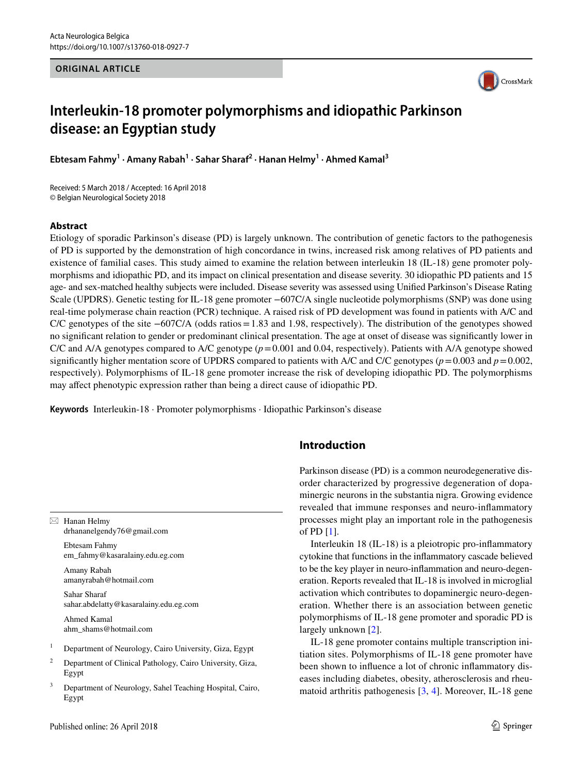#### **ORIGINAL ARTICLE**



# **Interleukin-18 promoter polymorphisms and idiopathic Parkinson disease: an Egyptian study**

**Ebtesam Fahmy<sup>1</sup> · Amany Rabah1 · Sahar Sharaf2 · Hanan Helmy1 · Ahmed Kamal3**

Received: 5 March 2018 / Accepted: 16 April 2018 © Belgian Neurological Society 2018

#### **Abstract**

Etiology of sporadic Parkinson's disease (PD) is largely unknown. The contribution of genetic factors to the pathogenesis of PD is supported by the demonstration of high concordance in twins, increased risk among relatives of PD patients and existence of familial cases. This study aimed to examine the relation between interleukin 18 (IL-18) gene promoter polymorphisms and idiopathic PD, and its impact on clinical presentation and disease severity. 30 idiopathic PD patients and 15 age- and sex-matched healthy subjects were included. Disease severity was assessed using Unified Parkinson's Disease Rating Scale (UPDRS). Genetic testing for IL-18 gene promoter −607C/A single nucleotide polymorphisms (SNP) was done using real-time polymerase chain reaction (PCR) technique. A raised risk of PD development was found in patients with A/C and C/C genotypes of the site −607C/A (odds ratios=1.83 and 1.98, respectively). The distribution of the genotypes showed no significant relation to gender or predominant clinical presentation. The age at onset of disease was significantly lower in C/C and A/A genotypes compared to A/C genotype (*p*=0.001 and 0.04, respectively). Patients with A/A genotype showed significantly higher mentation score of UPDRS compared to patients with A/C and C/C genotypes ( $p = 0.003$  and  $p = 0.002$ , respectively). Polymorphisms of IL-18 gene promoter increase the risk of developing idiopathic PD. The polymorphisms may affect phenotypic expression rather than being a direct cause of idiopathic PD.

**Keywords** Interleukin-18 · Promoter polymorphisms · Idiopathic Parkinson's disease

 $\boxtimes$  Hanan Helmy drhananelgendy76@gmail.com

> Ebtesam Fahmy em\_fahmy@kasaralainy.edu.eg.com

Amany Rabah amanyrabah@hotmail.com

Sahar Sharaf sahar.abdelatty@kasaralainy.edu.eg.com

Ahmed Kamal ahm\_shams@hotmail.com

- <sup>1</sup> Department of Neurology, Cairo University, Giza, Egypt
- <sup>2</sup> Department of Clinical Pathology, Cairo University, Giza, Egypt
- <sup>3</sup> Department of Neurology, Sahel Teaching Hospital, Cairo, Egypt

# **Introduction**

Parkinson disease (PD) is a common neurodegenerative disorder characterized by progressive degeneration of dopaminergic neurons in the substantia nigra. Growing evidence revealed that immune responses and neuro-inflammatory processes might play an important role in the pathogenesis of PD [[1\]](#page-5-0).

Interleukin 18 (IL-18) is a pleiotropic pro-inflammatory cytokine that functions in the inflammatory cascade believed to be the key player in neuro-inflammation and neuro-degeneration. Reports revealed that IL-18 is involved in microglial activation which contributes to dopaminergic neuro-degeneration. Whether there is an association between genetic polymorphisms of IL-18 gene promoter and sporadic PD is largely unknown [\[2](#page-5-1)].

IL-18 gene promoter contains multiple transcription initiation sites. Polymorphisms of IL-18 gene promoter have been shown to influence a lot of chronic inflammatory diseases including diabetes, obesity, atherosclerosis and rheumatoid arthritis pathogenesis [\[3,](#page-5-2) [4\]](#page-5-3). Moreover, IL-18 gene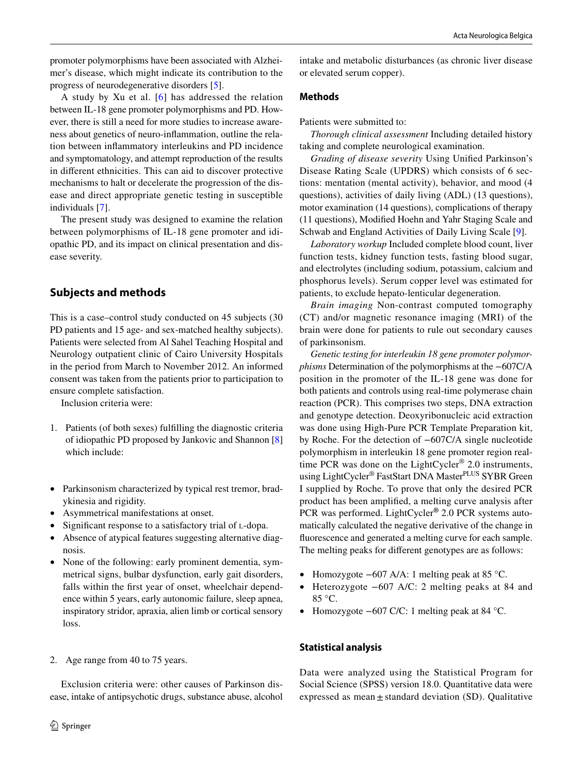promoter polymorphisms have been associated with Alzheimer's disease, which might indicate its contribution to the progress of neurodegenerative disorders [\[5](#page-5-4)].

A study by Xu et al. [[6](#page-5-5)] has addressed the relation between IL-18 gene promoter polymorphisms and PD. However, there is still a need for more studies to increase awareness about genetics of neuro-inflammation, outline the relation between inflammatory interleukins and PD incidence and symptomatology, and attempt reproduction of the results in different ethnicities. This can aid to discover protective mechanisms to halt or decelerate the progression of the disease and direct appropriate genetic testing in susceptible individuals [[7\]](#page-5-6).

The present study was designed to examine the relation between polymorphisms of IL-18 gene promoter and idiopathic PD, and its impact on clinical presentation and disease severity.

# **Subjects and methods**

This is a case–control study conducted on 45 subjects (30 PD patients and 15 age- and sex-matched healthy subjects). Patients were selected from Al Sahel Teaching Hospital and Neurology outpatient clinic of Cairo University Hospitals in the period from March to November 2012. An informed consent was taken from the patients prior to participation to ensure complete satisfaction.

Inclusion criteria were:

- 1. Patients (of both sexes) fulfilling the diagnostic criteria of idiopathic PD proposed by Jankovic and Shannon [[8\]](#page-5-7) which include:
- Parkinsonism characterized by typical rest tremor, bradykinesia and rigidity.
- Asymmetrical manifestations at onset.
- Significant response to a satisfactory trial of L-dopa.
- Absence of atypical features suggesting alternative diagnosis.
- None of the following: early prominent dementia, symmetrical signs, bulbar dysfunction, early gait disorders, falls within the first year of onset, wheelchair dependence within 5 years, early autonomic failure, sleep apnea, inspiratory stridor, apraxia, alien limb or cortical sensory loss.
- 2. Age range from 40 to 75 years.

Exclusion criteria were: other causes of Parkinson disease, intake of antipsychotic drugs, substance abuse, alcohol intake and metabolic disturbances (as chronic liver disease or elevated serum copper).

# **Methods**

Patients were submitted to:

*Thorough clinical assessment* Including detailed history taking and complete neurological examination.

*Grading of disease severity* Using Unified Parkinson's Disease Rating Scale (UPDRS) which consists of 6 sections: mentation (mental activity), behavior, and mood (4 questions), activities of daily living (ADL) (13 questions), motor examination (14 questions), complications of therapy (11 questions), Modified Hoehn and Yahr Staging Scale and Schwab and England Activities of Daily Living Scale [[9\]](#page-5-8).

*Laboratory workup* Included complete blood count, liver function tests, kidney function tests, fasting blood sugar, and electrolytes (including sodium, potassium, calcium and phosphorus levels). Serum copper level was estimated for patients, to exclude hepato-lenticular degeneration.

*Brain imaging* Non-contrast computed tomography (CT) and/or magnetic resonance imaging (MRI) of the brain were done for patients to rule out secondary causes of parkinsonism.

*Genetic testing for interleukin 18 gene promoter polymorphisms* Determination of the polymorphisms at the −607C/A position in the promoter of the IL-18 gene was done for both patients and controls using real-time polymerase chain reaction (PCR). This comprises two steps, DNA extraction and genotype detection. Deoxyribonucleic acid extraction was done using High-Pure PCR Template Preparation kit, by Roche. For the detection of −607C/A single nucleotide polymorphism in interleukin 18 gene promoter region realtime PCR was done on the LightCycler<sup>®</sup> 2.0 instruments, using LightCycler<sup>®</sup> FastStart DNA Master<sup>PLUS</sup> SYBR Green I supplied by Roche. To prove that only the desired PCR product has been amplified, a melting curve analysis after PCR was performed. LightCycler**®** 2.0 PCR systems automatically calculated the negative derivative of the change in fluorescence and generated a melting curve for each sample. The melting peaks for different genotypes are as follows:

- Homozygote −607 A/A: 1 melting peak at 85 °C.
- Heterozygote −607 A/C: 2 melting peaks at 84 and 85 °C.
- Homozygote −607 C/C: 1 melting peak at 84 °C.

# **Statistical analysis**

Data were analyzed using the Statistical Program for Social Science (SPSS) version 18.0. Quantitative data were expressed as mean $\pm$ standard deviation (SD). Qualitative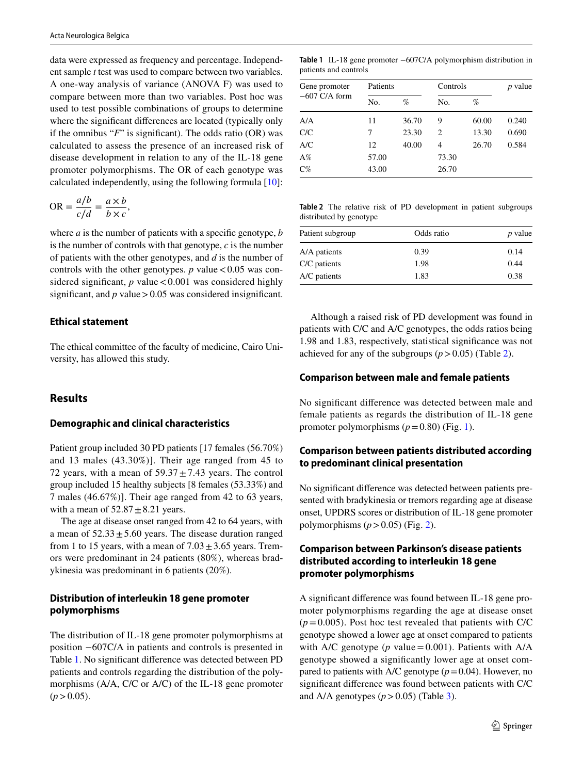data were expressed as frequency and percentage. Independent sample *t* test was used to compare between two variables. A one-way analysis of variance (ANOVA F) was used to compare between more than two variables. Post hoc was used to test possible combinations of groups to determine where the significant differences are located (typically only if the omnibus "*F*" is significant). The odds ratio (OR) was calculated to assess the presence of an increased risk of disease development in relation to any of the IL-18 gene promoter polymorphisms. The OR of each genotype was calculated independently, using the following formula [[10\]](#page-5-9):

$$
OR = \frac{a/b}{c/d} = \frac{a \times b}{b \times c},
$$

where *a* is the number of patients with a specific genotype, *b* is the number of controls with that genotype, *c* is the number of patients with the other genotypes, and *d* is the number of controls with the other genotypes.  $p$  value  $< 0.05$  was considered significant,  $p$  value < 0.001 was considered highly significant, and  $p$  value  $> 0.05$  was considered insignificant.

#### **Ethical statement**

The ethical committee of the faculty of medicine, Cairo University, has allowed this study.

# **Results**

#### **Demographic and clinical characteristics**

Patient group included 30 PD patients [17 females (56.70%) and 13 males (43.30%)]. Their age ranged from 45 to 72 years, with a mean of  $59.37 \pm 7.43$  years. The control group included 15 healthy subjects [8 females (53.33%) and 7 males (46.67%)]. Their age ranged from 42 to 63 years, with a mean of  $52.87 \pm 8.21$  years.

The age at disease onset ranged from 42 to 64 years, with a mean of  $52.33 \pm 5.60$  years. The disease duration ranged from 1 to 15 years, with a mean of  $7.03 \pm 3.65$  years. Tremors were predominant in 24 patients (80%), whereas bradykinesia was predominant in 6 patients (20%).

# **Distribution of interleukin 18 gene promoter polymorphisms**

The distribution of IL-18 gene promoter polymorphisms at position −607C/A in patients and controls is presented in Table [1.](#page-2-0) No significant difference was detected between PD patients and controls regarding the distribution of the polymorphisms (A/A, C/C or A/C) of the IL-18 gene promoter  $(p>0.05)$ .

<span id="page-2-0"></span>**Table 1** IL-18 gene promoter −607C/A polymorphism distribution in patients and controls

| Gene promoter<br>$-607$ C/A form | Patients |       | Controls |       | <i>p</i> value |  |
|----------------------------------|----------|-------|----------|-------|----------------|--|
|                                  | No.      | %     | No.      | %     |                |  |
| A/A                              | 11       | 36.70 | 9        | 60.00 | 0.240          |  |
| C/C                              | 7        | 23.30 | 2        | 13.30 | 0.690          |  |
| A/C                              | 12       | 40.00 | 4        | 26.70 | 0.584          |  |
| $A\%$                            | 57.00    |       | 73.30    |       |                |  |
| $C\%$                            | 43.00    |       | 26.70    |       |                |  |

<span id="page-2-1"></span>**Table 2** The relative risk of PD development in patient subgroups distributed by genotype

| Patient subgroup | Odds ratio | $p$ value |  |
|------------------|------------|-----------|--|
| A/A patients     | 0.39       | 0.14      |  |
| C/C patients     | 1.98       | 0.44      |  |
| A/C patients     | 1.83       | 0.38      |  |

Although a raised risk of PD development was found in patients with C/C and A/C genotypes, the odds ratios being 1.98 and 1.83, respectively, statistical significance was not achieved for any of the subgroups  $(p > 0.05)$  (Table [2](#page-2-1)).

# **Comparison between male and female patients**

No significant difference was detected between male and female patients as regards the distribution of IL-18 gene promoter polymorphisms  $(p=0.80)$  (Fig. [1](#page-3-0)).

# **Comparison between patients distributed according to predominant clinical presentation**

No significant difference was detected between patients presented with bradykinesia or tremors regarding age at disease onset, UPDRS scores or distribution of IL-18 gene promoter polymorphisms  $(p>0.05)$  (Fig. [2\)](#page-3-1).

# **Comparison between Parkinson's disease patients distributed according to interleukin 18 gene promoter polymorphisms**

A significant difference was found between IL-18 gene promoter polymorphisms regarding the age at disease onset  $(p=0.005)$ . Post hoc test revealed that patients with C/C genotype showed a lower age at onset compared to patients with A/C genotype ( $p$  value = 0.001). Patients with A/A genotype showed a significantly lower age at onset compared to patients with A/C genotype  $(p=0.04)$ . However, no significant difference was found between patients with C/C and A/A genotypes  $(p > 0.05)$  (Table [3](#page-3-2)).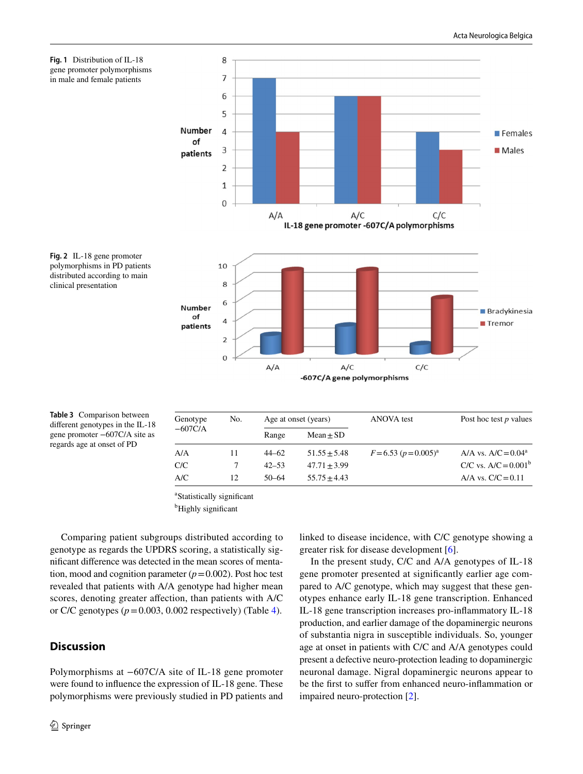<span id="page-3-0"></span>



<span id="page-3-1"></span>

<span id="page-3-2"></span>**Table 3** Comparison between different genotypes in the IL-18 gene promoter −607C/A site as regards age at onset of PD

| Genotype  | No. |           | Age at onset (years) | <b>ANOVA</b> test          | Post hoc test $p$ values |  |
|-----------|-----|-----------|----------------------|----------------------------|--------------------------|--|
| $-607C/A$ |     | Range     | $Mean \pm SD$        |                            |                          |  |
| A/A       | 11  | $44 - 62$ | $51.55 \pm 5.48$     | $F = 6.53 (p = 0.005)^{a}$ | A/A vs. $A/C = 0.04^a$   |  |
| C/C       |     | $42 - 53$ | $47.71 + 3.99$       |                            | C/C vs. $A/C = 0.001^b$  |  |
| A/C       | 12  | $50 - 64$ | $55.75 + 4.43$       |                            | A/A vs. $C/C = 0.11$     |  |

a Statistically significant

<sup>b</sup>Highly significant

Comparing patient subgroups distributed according to genotype as regards the UPDRS scoring, a statistically significant difference was detected in the mean scores of mentation, mood and cognition parameter  $(p=0.002)$ . Post hoc test revealed that patients with A/A genotype had higher mean scores, denoting greater affection, than patients with A/C or C/C genotypes  $(p=0.003, 0.002$  respectively) (Table [4](#page-4-0)).

# **Discussion**

Polymorphisms at −607C/A site of IL-18 gene promoter were found to influence the expression of IL-18 gene. These polymorphisms were previously studied in PD patients and linked to disease incidence, with C/C genotype showing a greater risk for disease development [[6\]](#page-5-5).

In the present study, C/C and A/A genotypes of IL-18 gene promoter presented at significantly earlier age compared to A/C genotype, which may suggest that these genotypes enhance early IL-18 gene transcription. Enhanced IL-18 gene transcription increases pro-inflammatory IL-18 production, and earlier damage of the dopaminergic neurons of substantia nigra in susceptible individuals. So, younger age at onset in patients with C/C and A/A genotypes could present a defective neuro-protection leading to dopaminergic neuronal damage. Nigral dopaminergic neurons appear to be the first to suffer from enhanced neuro-inflammation or impaired neuro-protection [[2\]](#page-5-1).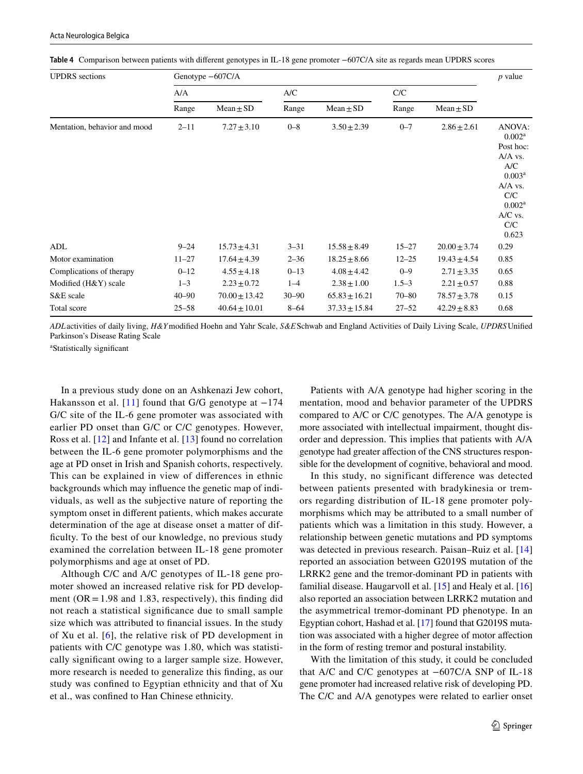|  | Acta Neurologica Belgica |  |
|--|--------------------------|--|
|  |                          |  |

| <b>UPDRS</b> sections        | Genotype $-607C/A$ |                   |           |                   |           |                  | $p$ value                                                                                                                                            |
|------------------------------|--------------------|-------------------|-----------|-------------------|-----------|------------------|------------------------------------------------------------------------------------------------------------------------------------------------------|
|                              | A/A                |                   | A/C       |                   | C/C       |                  |                                                                                                                                                      |
|                              | Range              | $Mean \pm SD$     | Range     | $Mean \pm SD$     | Range     | $Mean \pm SD$    |                                                                                                                                                      |
| Mentation, behavior and mood | $2 - 11$           | $7.27 \pm 3.10$   | $0 - 8$   | $3.50 \pm 2.39$   | $0 - 7$   | $2.86 \pm 2.61$  | ANOVA:<br>0.002 <sup>a</sup><br>Post hoc:<br>A/A vs.<br>A/C<br>0.003 <sup>a</sup><br>A/A vs.<br>C/C<br>0.002 <sup>a</sup><br>A/C vs.<br>C/C<br>0.623 |
| ADL                          | $9 - 24$           | $15.73 \pm 4.31$  | $3 - 31$  | $15.58 \pm 8.49$  | $15 - 27$ | $20.00 \pm 3.74$ | 0.29                                                                                                                                                 |
| Motor examination            | $11 - 27$          | $17.64 \pm 4.39$  | $2 - 36$  | $18.25 \pm 8.66$  | $12 - 25$ | $19.43 \pm 4.54$ | 0.85                                                                                                                                                 |
| Complications of therapy     | $0 - 12$           | $4.55 \pm 4.18$   | $0 - 13$  | $4.08 \pm 4.42$   | $0 - 9$   | $2.71 \pm 3.35$  | 0.65                                                                                                                                                 |
| Modified (H&Y) scale         | $1 - 3$            | $2.23 \pm 0.72$   | $1 - 4$   | $2.38 \pm 1.00$   | $1.5 - 3$ | $2.21 \pm 0.57$  | 0.88                                                                                                                                                 |
| S&E scale                    | $40 - 90$          | $70.00 \pm 13.42$ | $30 - 90$ | $65.83 \pm 16.21$ | $70 - 80$ | $78.57 \pm 3.78$ | 0.15                                                                                                                                                 |
| Total score                  | $25 - 58$          | $40.64 \pm 10.01$ | $8 - 64$  | $37.33 \pm 15.84$ | $27 - 52$ | $42.29 \pm 8.83$ | 0.68                                                                                                                                                 |

<span id="page-4-0"></span>**Table 4** Comparison between patients with different genotypes in IL-18 gene promoter −607C/A site as regards mean UPDRS scores

*ADL*activities of daily living, *H&Y*modified Hoehn and Yahr Scale, *S&E*Schwab and England Activities of Daily Living Scale, *UPDRS*Unified Parkinson's Disease Rating Scale

a Statistically significant

In a previous study done on an Ashkenazi Jew cohort, Hakansson et al. [[11](#page-5-10)] found that G/G genotype at  $-174$ G/C site of the IL-6 gene promoter was associated with earlier PD onset than G/C or C/C genotypes. However, Ross et al. [[12](#page-5-11)] and Infante et al. [\[13\]](#page-5-12) found no correlation between the IL-6 gene promoter polymorphisms and the age at PD onset in Irish and Spanish cohorts, respectively. This can be explained in view of differences in ethnic backgrounds which may influence the genetic map of individuals, as well as the subjective nature of reporting the symptom onset in different patients, which makes accurate determination of the age at disease onset a matter of difficulty. To the best of our knowledge, no previous study examined the correlation between IL-18 gene promoter polymorphisms and age at onset of PD.

Although C/C and A/C genotypes of IL-18 gene promoter showed an increased relative risk for PD development ( $OR = 1.98$  and 1.83, respectively), this finding did not reach a statistical significance due to small sample size which was attributed to financial issues. In the study of Xu et al. [[6\]](#page-5-5), the relative risk of PD development in patients with C/C genotype was 1.80, which was statistically significant owing to a larger sample size. However, more research is needed to generalize this finding, as our study was confined to Egyptian ethnicity and that of Xu et al., was confined to Han Chinese ethnicity.

Patients with A/A genotype had higher scoring in the mentation, mood and behavior parameter of the UPDRS compared to A/C or C/C genotypes. The A/A genotype is more associated with intellectual impairment, thought disorder and depression. This implies that patients with A/A genotype had greater affection of the CNS structures responsible for the development of cognitive, behavioral and mood.

In this study, no significant difference was detected between patients presented with bradykinesia or tremors regarding distribution of IL-18 gene promoter polymorphisms which may be attributed to a small number of patients which was a limitation in this study. However, a relationship between genetic mutations and PD symptoms was detected in previous research. Paisan–Ruiz et al. [[14](#page-5-13)] reported an association between G2019S mutation of the LRRK2 gene and the tremor-dominant PD in patients with familial disease. Haugarvoll et al. [[15\]](#page-5-14) and Healy et al. [[16\]](#page-5-15) also reported an association between LRRK2 mutation and the asymmetrical tremor-dominant PD phenotype. In an Egyptian cohort, Hashad et al. [[17](#page-5-16)] found that G2019S mutation was associated with a higher degree of motor affection in the form of resting tremor and postural instability.

With the limitation of this study, it could be concluded that A/C and C/C genotypes at −607C/A SNP of IL-18 gene promoter had increased relative risk of developing PD. The C/C and A/A genotypes were related to earlier onset